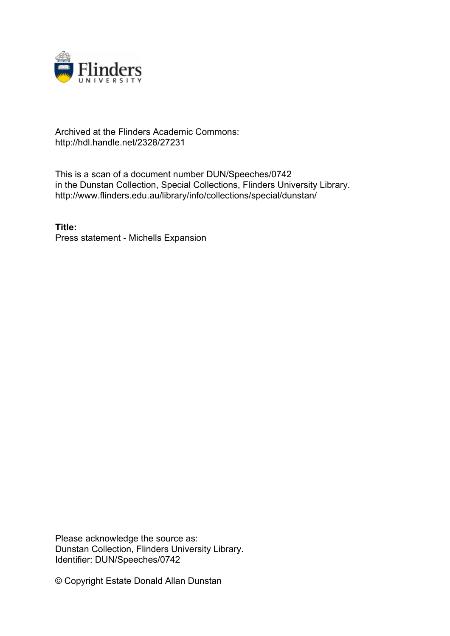

## Archived at the Flinders Academic Commons: http://hdl.handle.net/2328/27231

This is a scan of a document number DUN/Speeches/0742 in the Dunstan Collection, Special Collections, Flinders University Library. http://www.flinders.edu.au/library/info/collections/special/dunstan/

**Title:** Press statement - Michells Expansion

Please acknowledge the source as: Dunstan Collection, Flinders University Library. Identifier: DUN/Speeches/0742

© Copyright Estate Donald Allan Dunstan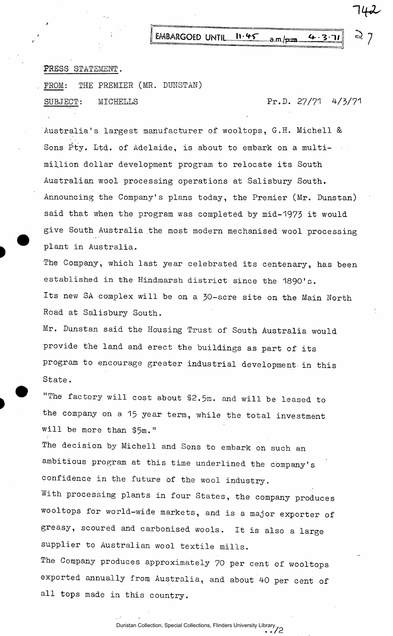EMBARGOED UNTIL 11.45 a.m./pm.  $4.3.7$ 

## PRESS STATEMENT.

FROM: THE PREMIER (MR. DUNSTAN) SUBJECT: MICHELLS Pr.D. 27/71 4/3/71

Australia's largest manufacturer of wooltops, G.H. Michell & Sons Pty. Ltd. of Adelaide, is about to embark on a multimillion dollar development program to relocate its South Australian wool processing operations at Salisbury South. Announcing the Company's plans today, the Premier (Mr. Dunstan) said that when the program was completed by mid-1973 it would give South Australia the most modern mechanised wool processing plant in Australia.

The Company, which last year celebrated its centenary, has been established in the Hindmarsh district since the 1890's. Its new SA complex will be on a 30-acre site on the Main North Road at Salisbury South.

Mr. Dunstan said the Housing Trust of South Australia would provide the land and erect the buildings as part of its program to encourage greater industrial development in this State.

"The factory will cost about \$2.5m. and will be leased to the company on a 15 year term, while the total investment will be more than \$5m."

The decision by Michell and Sons to embark on such an ambitious program at this time underlined the company's confidence in the future of the wool industry.

With processing plants in four States, the company produces wooltops for world-wide markets, and is a major exporter of greasy, scoured and carbonised wools. It is also a large supplier to Australian wool textile mills.

The Company produces approximately 70 per cent of wooltops exported annually from Australia, and about 40 per cent of all tops made in this country.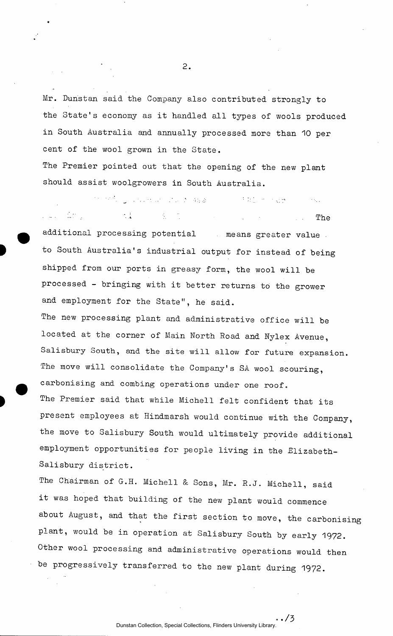Mr. Dunstan said the Company also contributed strongly to the State's economy as it handled all types of wools produced in South Australia and annually processed more than 10 per cent of the wool grown in the State.

The Premier pointed out that the opening of the new plant should assist woolgrowers in South Australia.

the setting concernant and the Amazon con-**(大会) (中) 不必要)** . .. .. The additional processing potential means greater value to South Australia's industrial output for instead of being shipped from our ports in greasy form, the wool will be processed - bringing with it better returns to the grower and employment for the State", he said.

The new processing plant and administrative office will be located at the corner of Main North Road and Nylex Avenue, Salisbury South, and the site will allow for future expansion. The move will consolidate the Company's SA wool scouring, carbonising and combing operations under one roof. The Premier said that while Michell felt confident that its present employees at Hindmarsh would continue with the Company, the move to Salisbury South would ultimately provide additional employment opportunities for people living in the Elizabeth-Salisbury district.

The Chairman of G.H. Michell & Sons, Mr. R.J. Michell, said it was hoped that building of the new plant would commence about August, and that the first section to move, the carbonising plant, would be in operation at Salisbury South by early 1972. Other wool processing and administrative operations would then be progressively transferred to the new plant during 1972.

 $2.$ 

 $\cdot$ /3